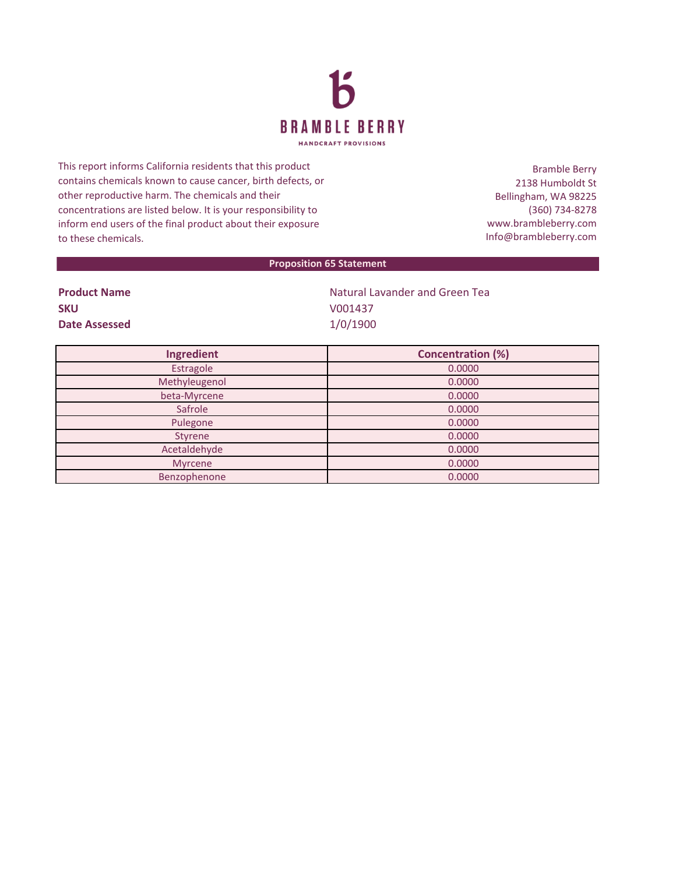

This report informs California residents that this product contains chemicals known to cause cancer, birth defects, or other reproductive harm. The chemicals and their concentrations are listed below. It is your responsibility to inform end users of the final product about their exposure to these chemicals.

Bramble Berry 2138 Humboldt St Bellingham, WA 98225 (360) 734-8278 www.brambleberry.com Info@brambleberry.com

## **Proposition 65 Statement**

| <b>Product Name</b> |
|---------------------|
| <b>SKU</b>          |
| Date Assessed       |

**Natural Lavander and Green Tea SKU** V001437 **Date Assessed** 1/0/1900

| Ingredient    | <b>Concentration (%)</b> |
|---------------|--------------------------|
| Estragole     | 0.0000                   |
| Methyleugenol | 0.0000                   |
| beta-Myrcene  | 0.0000                   |
| Safrole       | 0.0000                   |
| Pulegone      | 0.0000                   |
| Styrene       | 0.0000                   |
| Acetaldehyde  | 0.0000                   |
| Myrcene       | 0.0000                   |
| Benzophenone  | 0.0000                   |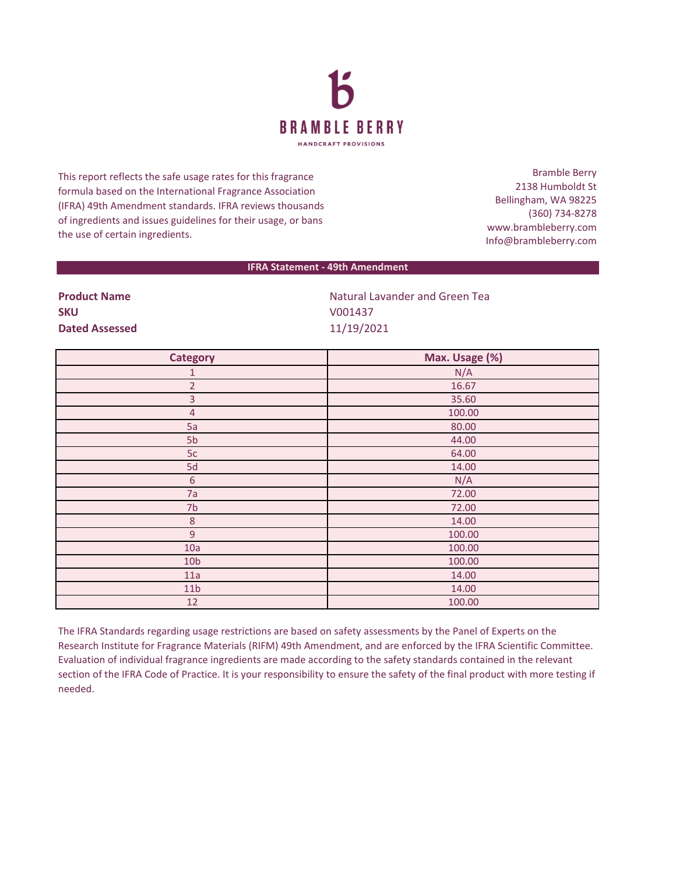

This report reflects the safe usage rates for this fragrance formula based on the International Fragrance Association (IFRA) 49th Amendment standards. IFRA reviews thousands of ingredients and issues guidelines for their usage, or bans the use of certain ingredients.

Bramble Berry 2138 Humboldt St Bellingham, WA 98225 (360) 734-8278 www.brambleberry.com Info@brambleberry.com

## **IFRA Statement - 49th Amendment**

| <b>Product Name</b>   | <b>Natural Lavander and Green Tea</b> |
|-----------------------|---------------------------------------|
| <b>SKU</b>            | V001437                               |
| <b>Dated Assessed</b> | 11/19/2021                            |

| <b>Category</b> | Max. Usage (%) |
|-----------------|----------------|
| 1               | N/A            |
| $\overline{2}$  | 16.67          |
| 3               | 35.60          |
| $\overline{4}$  | 100.00         |
| 5a              | 80.00          |
| 5b              | 44.00          |
| 5c              | 64.00          |
| 5d              | 14.00          |
| $\sqrt{6}$      | N/A            |
| 7a              | 72.00          |
| 7b              | 72.00          |
| $\,8\,$         | 14.00          |
| $\mathsf 9$     | 100.00         |
| 10a             | 100.00         |
| 10 <sub>b</sub> | 100.00         |
| 11a             | 14.00          |
| 11 <sub>b</sub> | 14.00          |
| 12              | 100.00         |

The IFRA Standards regarding usage restrictions are based on safety assessments by the Panel of Experts on the Research Institute for Fragrance Materials (RIFM) 49th Amendment, and are enforced by the IFRA Scientific Committee. Evaluation of individual fragrance ingredients are made according to the safety standards contained in the relevant section of the IFRA Code of Practice. It is your responsibility to ensure the safety of the final product with more testing if needed.